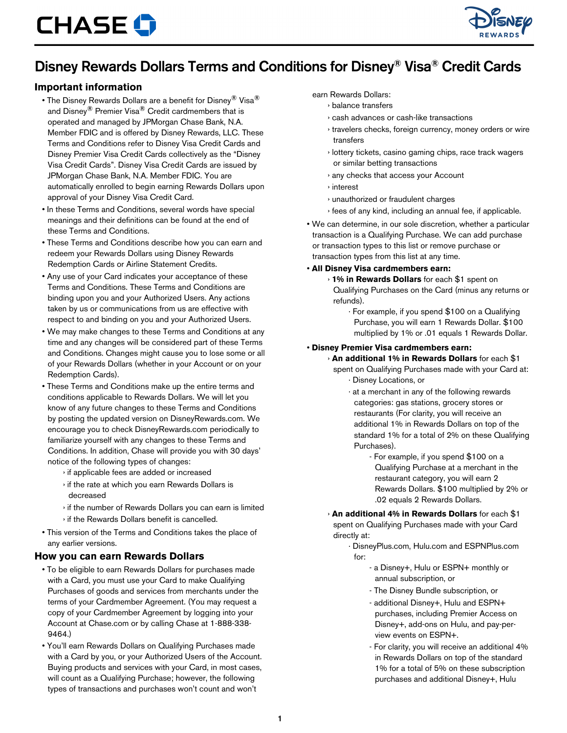

## Disney Rewards Dollars Terms and Conditions for Disney® Visa® Credit Cards

### **Important information**

- The Disney Rewards Dollars are a benefit for Disney® Visa® and Disney® Premier Visa® Credit cardmembers that is operated and managed by JPMorgan Chase Bank, N.A. Member FDIC and is offered by Disney Rewards, LLC. These Terms and Conditions refer to Disney Visa Credit Cards and Disney Premier Visa Credit Cards collectively as the "Disney Visa Credit Cards". Disney Visa Credit Cards are issued by JPMorgan Chase Bank, N.A. Member FDIC. You are automatically enrolled to begin earning Rewards Dollars upon approval of your Disney Visa Credit Card.
- In these Terms and Conditions, several words have special meanings and their definitions can be found at the end of these Terms and Conditions.
- These Terms and Conditions describe how you can earn and redeem your Rewards Dollars using Disney Rewards Redemption Cards or Airline Statement Credits.
- Any use of your Card indicates your acceptance of these Terms and Conditions. These Terms and Conditions are binding upon you and your Authorized Users. Any actions taken by us or communications from us are effective with respect to and binding on you and your Authorized Users.
- We may make changes to these Terms and Conditions at any time and any changes will be considered part of these Terms and Conditions. Changes might cause you to lose some or all of your Rewards Dollars (whether in your Account or on your Redemption Cards).
- These Terms and Conditions make up the entire terms and conditions applicable to Rewards Dollars. We will let you know of any future changes to these Terms and Conditions by posting the updated version on DisneyRewards.com. We encourage you to check DisneyRewards.com periodically to familiarize yourself with any changes to these Terms and Conditions. In addition, Chase will provide you with 30 days' notice of the following types of changes:
	- › if applicable fees are added or increased
	- › if the rate at which you earn Rewards Dollars is decreased
	- › if the number of Rewards Dollars you can earn is limited › if the Rewards Dollars benefit is cancelled.
- This version of the Terms and Conditions takes the place of any earlier versions.

#### **How you can earn Rewards Dollars**

- To be eligible to earn Rewards Dollars for purchases made with a Card, you must use your Card to make Qualifying Purchases of goods and services from merchants under the terms of your Cardmember Agreement. (You may request a copy of your Cardmember Agreement by logging into your Account at Chase.com or by calling Chase at 1-888-338- 9464.)
- You'll earn Rewards Dollars on Qualifying Purchases made with a Card by you, or your Authorized Users of the Account. Buying products and services with your Card, in most cases, will count as a Qualifying Purchase; however, the following types of transactions and purchases won't count and won't

#### earn Rewards Dollars:

#### › balance transfers

- › cash advances or cash-like transactions
- › travelers checks, foreign currency, money orders or wire transfers
- › lottery tickets, casino gaming chips, race track wagers or similar betting transactions
- › any checks that access your Account
- › interest
- › unauthorized or fraudulent charges
- › fees of any kind, including an annual fee, if applicable.
- We can determine, in our sole discretion, whether a particular transaction is a Qualifying Purchase. We can add purchase or transaction types to this list or remove purchase or transaction types from this list at any time.
- **All Disney Visa cardmembers earn:**
	- › **1% in Rewards Dollars** for each \$1 spent on Qualifying Purchases on the Card (minus any returns or refunds).
		- · For example, if you spend \$100 on a Qualifying Purchase, you will earn 1 Rewards Dollar. \$100 multiplied by 1% or .01 equals 1 Rewards Dollar.

#### • **Disney Premier Visa cardmembers earn:**

## › **An additional 1% in Rewards Dollars** for each \$1

- spent on Qualifying Purchases made with your Card at: · Disney Locations, or
	- · at a merchant in any of the following rewards categories: gas stations, grocery stores or restaurants (For clarity, you will receive an additional 1% in Rewards Dollars on top of the standard 1% for a total of 2% on these Qualifying Purchases).
		- For example, if you spend \$100 on a Qualifying Purchase at a merchant in the restaurant category, you will earn 2 Rewards Dollars. \$100 multiplied by 2% or .02 equals 2 Rewards Dollars.
- › **An additional 4% in Rewards Dollars** for each \$1 spent on Qualifying Purchases made with your Card directly at:
	- · DisneyPlus.com, Hulu.com and ESPNPlus.com for:
		- a Disney+, Hulu or ESPN+ monthly or annual subscription, or
		- The Disney Bundle subscription, or
		- additional Disney+, Hulu and ESPN+ purchases, including Premier Access on Disney+, add-ons on Hulu, and pay-perview events on ESPN+.
		- For clarity, you will receive an additional 4% in Rewards Dollars on top of the standard 1% for a total of 5% on these subscription purchases and additional Disney+, Hulu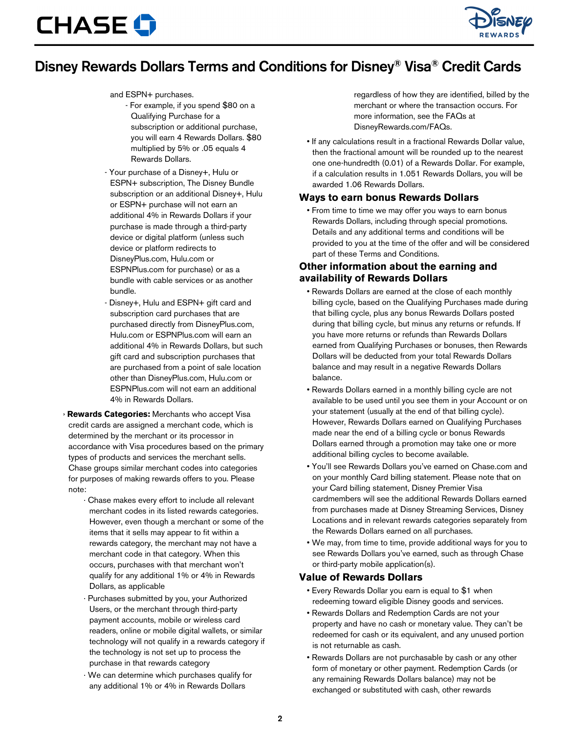

## Disney Rewards Dollars Terms and Conditions for Disney® Visa® Credit Cards

#### and ESPN+ purchases.

- For example, if you spend \$80 on a Qualifying Purchase for a subscription or additional purchase, you will earn 4 Rewards Dollars. \$80 multiplied by 5% or .05 equals 4 Rewards Dollars.
- Your purchase of a Disney+, Hulu or ESPN+ subscription, The Disney Bundle subscription or an additional Disney+, Hulu or ESPN+ purchase will not earn an additional 4% in Rewards Dollars if your purchase is made through a third-party device or digital platform (unless such device or platform redirects to DisneyPlus.com, Hulu.com or ESPNPlus.com for purchase) or as a bundle with cable services or as another bundle.
- Disney+, Hulu and ESPN+ gift card and subscription card purchases that are purchased directly from DisneyPlus.com, Hulu.com or ESPNPlus.com will earn an additional 4% in Rewards Dollars, but such gift card and subscription purchases that are purchased from a point of sale location other than DisneyPlus.com, Hulu.com or ESPNPlus.com will not earn an additional 4% in Rewards Dollars.
- › **Rewards Categories:** Merchants who accept Visa credit cards are assigned a merchant code, which is determined by the merchant or its processor in accordance with Visa procedures based on the primary types of products and services the merchant sells. Chase groups similar merchant codes into categories for purposes of making rewards offers to you. Please note:
	- · Chase makes every effort to include all relevant merchant codes in its listed rewards categories. However, even though a merchant or some of the items that it sells may appear to fit within a rewards category, the merchant may not have a merchant code in that category. When this occurs, purchases with that merchant won't qualify for any additional 1% or 4% in Rewards Dollars, as applicable
	- Purchases submitted by you, your Authorized Users, or the merchant through third-party payment accounts, mobile or wireless card readers, online or mobile digital wallets, or similar technology will not qualify in a rewards category if the technology is not set up to process the purchase in that rewards category
	- · We can determine which purchases qualify for any additional 1% or 4% in Rewards Dollars

regardless of how they are identified, billed by the merchant or where the transaction occurs. For more information, see the FAQs at DisneyRewards.com/FAQs.

• If any calculations result in a fractional Rewards Dollar value, then the fractional amount will be rounded up to the nearest one one-hundredth (0.01) of a Rewards Dollar. For example, if a calculation results in 1.051 Rewards Dollars, you will be awarded 1.06 Rewards Dollars.

#### **Ways to earn bonus Rewards Dollars**

• From time to time we may offer you ways to earn bonus Rewards Dollars, including through special promotions. Details and any additional terms and conditions will be provided to you at the time of the offer and will be considered part of these Terms and Conditions.

### **Other information about the earning and availability of Rewards Dollars**

- Rewards Dollars are earned at the close of each monthly billing cycle, based on the Qualifying Purchases made during that billing cycle, plus any bonus Rewards Dollars posted during that billing cycle, but minus any returns or refunds. If you have more returns or refunds than Rewards Dollars earned from Qualifying Purchases or bonuses, then Rewards Dollars will be deducted from your total Rewards Dollars balance and may result in a negative Rewards Dollars balance.
- Rewards Dollars earned in a monthly billing cycle are not available to be used until you see them in your Account or on your statement (usually at the end of that billing cycle). However, Rewards Dollars earned on Qualifying Purchases made near the end of a billing cycle or bonus Rewards Dollars earned through a promotion may take one or more additional billing cycles to become available.
- You'll see Rewards Dollars you've earned on Chase.com and on your monthly Card billing statement. Please note that on your Card billing statement, Disney Premier Visa cardmembers will see the additional Rewards Dollars earned from purchases made at Disney Streaming Services, Disney Locations and in relevant rewards categories separately from the Rewards Dollars earned on all purchases.
- We may, from time to time, provide additional ways for you to see Rewards Dollars you've earned, such as through Chase or third-party mobile application(s).

#### **Value of Rewards Dollars**

- Every Rewards Dollar you earn is equal to \$1 when redeeming toward eligible Disney goods and services.
- Rewards Dollars and Redemption Cards are not your property and have no cash or monetary value. They can't be redeemed for cash or its equivalent, and any unused portion is not returnable as cash.
- Rewards Dollars are not purchasable by cash or any other form of monetary or other payment. Redemption Cards (or any remaining Rewards Dollars balance) may not be exchanged or substituted with cash, other rewards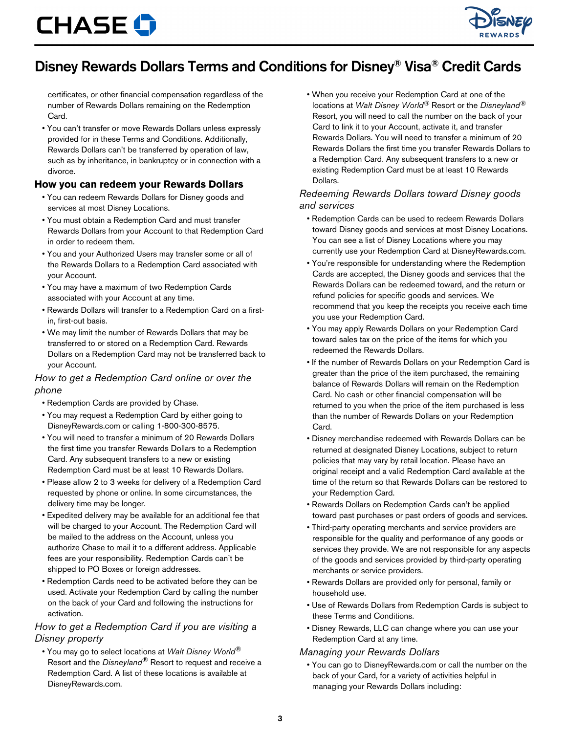

# Disney Rewards Dollars Terms and Conditions for Disney® Visa® Credit Cards

certificates, or other financial compensation regardless of the number of Rewards Dollars remaining on the Redemption Card.

• You can't transfer or move Rewards Dollars unless expressly provided for in these Terms and Conditions. Additionally, Rewards Dollars can't be transferred by operation of law, such as by inheritance, in bankruptcy or in connection with a divorce.

#### **How you can redeem your Rewards Dollars**

- You can redeem Rewards Dollars for Disney goods and services at most Disney Locations.
- You must obtain a Redemption Card and must transfer Rewards Dollars from your Account to that Redemption Card in order to redeem them.
- You and your Authorized Users may transfer some or all of the Rewards Dollars to a Redemption Card associated with your Account.
- You may have a maximum of two Redemption Cards associated with your Account at any time.
- Rewards Dollars will transfer to a Redemption Card on a firstin, first-out basis.
- We may limit the number of Rewards Dollars that may be transferred to or stored on a Redemption Card. Rewards Dollars on a Redemption Card may not be transferred back to your Account.

#### *How to get a Redemption Card online or over the phone*

- Redemption Cards are provided by Chase.
- You may request a Redemption Card by either going to DisneyRewards.com or calling 1-800-300-8575.
- You will need to transfer a minimum of 20 Rewards Dollars the first time you transfer Rewards Dollars to a Redemption Card. Any subsequent transfers to a new or existing Redemption Card must be at least 10 Rewards Dollars.
- Please allow 2 to 3 weeks for delivery of a Redemption Card requested by phone or online. In some circumstances, the delivery time may be longer.
- Expedited delivery may be available for an additional fee that will be charged to your Account. The Redemption Card will be mailed to the address on the Account, unless you authorize Chase to mail it to a different address. Applicable fees are your responsibility. Redemption Cards can't be shipped to PO Boxes or foreign addresses.
- Redemption Cards need to be activated before they can be used. Activate your Redemption Card by calling the number on the back of your Card and following the instructions for activation.

#### *How to get a Redemption Card if you are visiting a Disney property*

• You may go to select locations at *Walt Disney World®* Resort and the *Disneyland®* Resort to request and receive a Redemption Card. A list of these locations is available at DisneyRewards.com.

• When you receive your Redemption Card at one of the locations at *Walt Disney World®* Resort or the *Disneyland®* Resort, you will need to call the number on the back of your Card to link it to your Account, activate it, and transfer Rewards Dollars. You will need to transfer a minimum of 20 Rewards Dollars the first time you transfer Rewards Dollars to a Redemption Card. Any subsequent transfers to a new or existing Redemption Card must be at least 10 Rewards Dollars.

### *Redeeming Rewards Dollars toward Disney goods and services*

- Redemption Cards can be used to redeem Rewards Dollars toward Disney goods and services at most Disney Locations. You can see a list of Disney Locations where you may currently use your Redemption Card at DisneyRewards.com.
- You're responsible for understanding where the Redemption Cards are accepted, the Disney goods and services that the Rewards Dollars can be redeemed toward, and the return or refund policies for specific goods and services. We recommend that you keep the receipts you receive each time you use your Redemption Card.
- You may apply Rewards Dollars on your Redemption Card toward sales tax on the price of the items for which you redeemed the Rewards Dollars.
- If the number of Rewards Dollars on your Redemption Card is greater than the price of the item purchased, the remaining balance of Rewards Dollars will remain on the Redemption Card. No cash or other financial compensation will be returned to you when the price of the item purchased is less than the number of Rewards Dollars on your Redemption Card.
- Disney merchandise redeemed with Rewards Dollars can be returned at designated Disney Locations, subject to return policies that may vary by retail location. Please have an original receipt and a valid Redemption Card available at the time of the return so that Rewards Dollars can be restored to your Redemption Card.
- Rewards Dollars on Redemption Cards can't be applied toward past purchases or past orders of goods and services.
- Third-party operating merchants and service providers are responsible for the quality and performance of any goods or services they provide. We are not responsible for any aspects of the goods and services provided by third-party operating merchants or service providers.
- Rewards Dollars are provided only for personal, family or household use.
- Use of Rewards Dollars from Redemption Cards is subject to these Terms and Conditions.
- Disney Rewards, LLC can change where you can use your Redemption Card at any time.

### *Managing your Rewards Dollars*

• You can go to DisneyRewards.com or call the number on the back of your Card, for a variety of activities helpful in managing your Rewards Dollars including: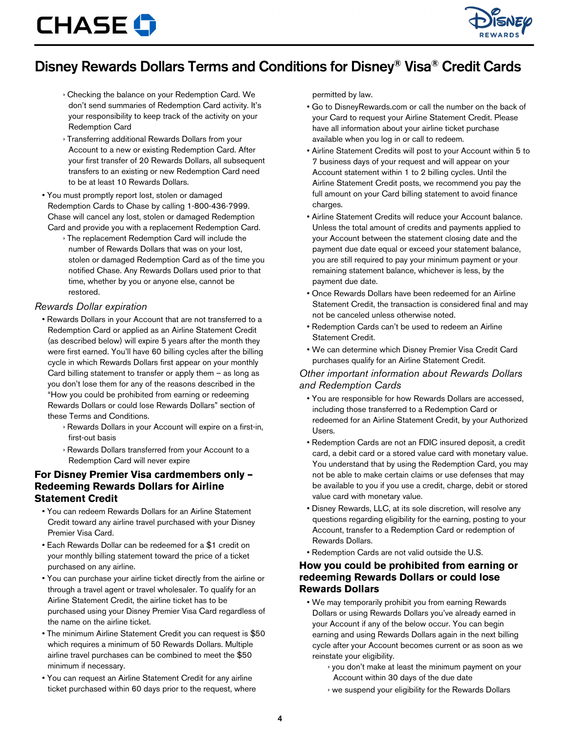

# Disney Rewards Dollars Terms and Conditions for Disney® Visa® Credit Cards

- › Checking the balance on your Redemption Card. We don't send summaries of Redemption Card activity. It's your responsibility to keep track of the activity on your Redemption Card
- › Transferring additional Rewards Dollars from your Account to a new or existing Redemption Card. After your first transfer of 20 Rewards Dollars, all subsequent transfers to an existing or new Redemption Card need to be at least 10 Rewards Dollars.
- You must promptly report lost, stolen or damaged Redemption Cards to Chase by calling 1-800-436-7999. Chase will cancel any lost, stolen or damaged Redemption Card and provide you with a replacement Redemption Card.
	- › The replacement Redemption Card will include the number of Rewards Dollars that was on your lost, stolen or damaged Redemption Card as of the time you notified Chase. Any Rewards Dollars used prior to that time, whether by you or anyone else, cannot be restored.

#### *Rewards Dollar expiration*

- Rewards Dollars in your Account that are not transferred to a Redemption Card or applied as an Airline Statement Credit (as described below) will expire 5 years after the month they were first earned. You'll have 60 billing cycles after the billing cycle in which Rewards Dollars first appear on your monthly Card billing statement to transfer or apply them – as long as you don't lose them for any of the reasons described in the "How you could be prohibited from earning or redeeming Rewards Dollars or could lose Rewards Dollars" section of these Terms and Conditions.
	- › Rewards Dollars in your Account will expire on a first-in, first-out basis
	- › Rewards Dollars transferred from your Account to a Redemption Card will never expire

### **For Disney Premier Visa cardmembers only – Redeeming Rewards Dollars for Airline Statement Credit**

- You can redeem Rewards Dollars for an Airline Statement Credit toward any airline travel purchased with your Disney Premier Visa Card.
- Each Rewards Dollar can be redeemed for a \$1 credit on your monthly billing statement toward the price of a ticket purchased on any airline.
- You can purchase your airline ticket directly from the airline or through a travel agent or travel wholesaler. To qualify for an Airline Statement Credit, the airline ticket has to be purchased using your Disney Premier Visa Card regardless of the name on the airline ticket.
- The minimum Airline Statement Credit you can request is \$50 which requires a minimum of 50 Rewards Dollars. Multiple airline travel purchases can be combined to meet the \$50 minimum if necessary.
- You can request an Airline Statement Credit for any airline ticket purchased within 60 days prior to the request, where

permitted by law.

- Go to DisneyRewards.com or call the number on the back of your Card to request your Airline Statement Credit. Please have all information about your airline ticket purchase available when you log in or call to redeem.
- Airline Statement Credits will post to your Account within 5 to 7 business days of your request and will appear on your Account statement within 1 to 2 billing cycles. Until the Airline Statement Credit posts, we recommend you pay the full amount on your Card billing statement to avoid finance charges.
- Airline Statement Credits will reduce your Account balance. Unless the total amount of credits and payments applied to your Account between the statement closing date and the payment due date equal or exceed your statement balance, you are still required to pay your minimum payment or your remaining statement balance, whichever is less, by the payment due date.
- Once Rewards Dollars have been redeemed for an Airline Statement Credit, the transaction is considered final and may not be canceled unless otherwise noted.
- Redemption Cards can't be used to redeem an Airline Statement Credit.
- We can determine which Disney Premier Visa Credit Card purchases qualify for an Airline Statement Credit.

#### *Other important information about Rewards Dollars and Redemption Cards*

- You are responsible for how Rewards Dollars are accessed, including those transferred to a Redemption Card or redeemed for an Airline Statement Credit, by your Authorized Users.
- Redemption Cards are not an FDIC insured deposit, a credit card, a debit card or a stored value card with monetary value. You understand that by using the Redemption Card, you may not be able to make certain claims or use defenses that may be available to you if you use a credit, charge, debit or stored value card with monetary value.
- Disney Rewards, LLC, at its sole discretion, will resolve any questions regarding eligibility for the earning, posting to your Account, transfer to a Redemption Card or redemption of Rewards Dollars.
- Redemption Cards are not valid outside the U.S.

#### **How you could be prohibited from earning or redeeming Rewards Dollars or could lose Rewards Dollars**

- We may temporarily prohibit you from earning Rewards Dollars or using Rewards Dollars you've already earned in your Account if any of the below occur. You can begin earning and using Rewards Dollars again in the next billing cycle after your Account becomes current or as soon as we reinstate your eligibility.
	- › you don't make at least the minimum payment on your Account within 30 days of the due date
	- › we suspend your eligibility for the Rewards Dollars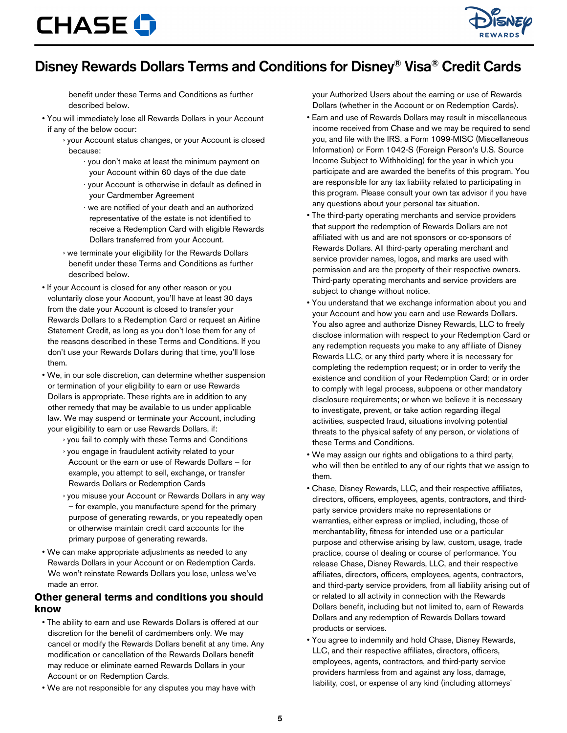

## Disney Rewards Dollars Terms and Conditions for Disney® Visa® Credit Cards

benefit under these Terms and Conditions as further described below.

- You will immediately lose all Rewards Dollars in your Account if any of the below occur:
	- › your Account status changes, or your Account is closed because:
		- · you don't make at least the minimum payment on your Account within 60 days of the due date
		- · your Account is otherwise in default as defined in your Cardmember Agreement
		- · we are notified of your death and an authorized representative of the estate is not identified to receive a Redemption Card with eligible Rewards Dollars transferred from your Account.
	- › we terminate your eligibility for the Rewards Dollars benefit under these Terms and Conditions as further described below.
- If your Account is closed for any other reason or you voluntarily close your Account, you'll have at least 30 days from the date your Account is closed to transfer your Rewards Dollars to a Redemption Card or request an Airline Statement Credit, as long as you don't lose them for any of the reasons described in these Terms and Conditions. If you don't use your Rewards Dollars during that time, you'll lose them.
- We, in our sole discretion, can determine whether suspension or termination of your eligibility to earn or use Rewards Dollars is appropriate. These rights are in addition to any other remedy that may be available to us under applicable law. We may suspend or terminate your Account, including your eligibility to earn or use Rewards Dollars, if:
	- › you fail to comply with these Terms and Conditions
	- › you engage in fraudulent activity related to your Account or the earn or use of Rewards Dollars – for example, you attempt to sell, exchange, or transfer Rewards Dollars or Redemption Cards
	- › you misuse your Account or Rewards Dollars in any way – for example, you manufacture spend for the primary purpose of generating rewards, or you repeatedly open or otherwise maintain credit card accounts for the primary purpose of generating rewards.
- We can make appropriate adjustments as needed to any Rewards Dollars in your Account or on Redemption Cards. We won't reinstate Rewards Dollars you lose, unless we've made an error.

#### **Other general terms and conditions you should know**

- The ability to earn and use Rewards Dollars is offered at our discretion for the benefit of cardmembers only. We may cancel or modify the Rewards Dollars benefit at any time. Any modification or cancellation of the Rewards Dollars benefit may reduce or eliminate earned Rewards Dollars in your Account or on Redemption Cards.
- We are not responsible for any disputes you may have with

your Authorized Users about the earning or use of Rewards Dollars (whether in the Account or on Redemption Cards).

- Earn and use of Rewards Dollars may result in miscellaneous income received from Chase and we may be required to send you, and file with the IRS, a Form 1099-MISC (Miscellaneous Information) or Form 1042-S (Foreign Person's U.S. Source Income Subject to Withholding) for the year in which you participate and are awarded the benefits of this program. You are responsible for any tax liability related to participating in this program. Please consult your own tax advisor if you have any questions about your personal tax situation.
- The third-party operating merchants and service providers that support the redemption of Rewards Dollars are not affiliated with us and are not sponsors or co-sponsors of Rewards Dollars. All third-party operating merchant and service provider names, logos, and marks are used with permission and are the property of their respective owners. Third-party operating merchants and service providers are subject to change without notice.
- You understand that we exchange information about you and your Account and how you earn and use Rewards Dollars. You also agree and authorize Disney Rewards, LLC to freely disclose information with respect to your Redemption Card or any redemption requests you make to any affiliate of Disney Rewards LLC, or any third party where it is necessary for completing the redemption request; or in order to verify the existence and condition of your Redemption Card; or in order to comply with legal process, subpoena or other mandatory disclosure requirements; or when we believe it is necessary to investigate, prevent, or take action regarding illegal activities, suspected fraud, situations involving potential threats to the physical safety of any person, or violations of these Terms and Conditions.
- We may assign our rights and obligations to a third party, who will then be entitled to any of our rights that we assign to them.
- Chase, Disney Rewards, LLC, and their respective affiliates, directors, officers, employees, agents, contractors, and thirdparty service providers make no representations or warranties, either express or implied, including, those of merchantability, fitness for intended use or a particular purpose and otherwise arising by law, custom, usage, trade practice, course of dealing or course of performance. You release Chase, Disney Rewards, LLC, and their respective affiliates, directors, officers, employees, agents, contractors, and third-party service providers, from all liability arising out of or related to all activity in connection with the Rewards Dollars benefit, including but not limited to, earn of Rewards Dollars and any redemption of Rewards Dollars toward products or services.
- You agree to indemnify and hold Chase, Disney Rewards, LLC, and their respective affiliates, directors, officers, employees, agents, contractors, and third-party service providers harmless from and against any loss, damage, liability, cost, or expense of any kind (including attorneys'